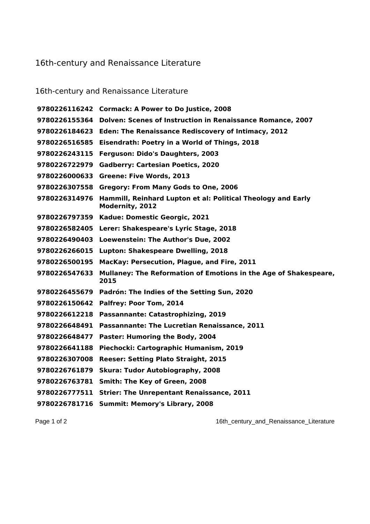## 16th-century and Renaissance Literature

| 16th-century and Renaissance Literature |                                                                                        |  |
|-----------------------------------------|----------------------------------------------------------------------------------------|--|
|                                         | 9780226116242 Cormack: A Power to Do Justice, 2008                                     |  |
| 9780226155364                           | <b>Dolven: Scenes of Instruction in Renaissance Romance, 2007</b>                      |  |
| 9780226184623                           | Eden: The Renaissance Rediscovery of Intimacy, 2012                                    |  |
| 9780226516585                           | Eisendrath: Poetry in a World of Things, 2018                                          |  |
| 9780226243115                           | Ferguson: Dido's Daughters, 2003                                                       |  |
| 9780226722979                           | <b>Gadberry: Cartesian Poetics, 2020</b>                                               |  |
|                                         | 9780226000633 Greene: Five Words, 2013                                                 |  |
| 9780226307558                           | <b>Gregory: From Many Gods to One, 2006</b>                                            |  |
| 9780226314976                           | Hammill, Reinhard Lupton et al: Political Theology and Early<br><b>Modernity, 2012</b> |  |
| 9780226797359                           | Kadue: Domestic Georgic, 2021                                                          |  |
|                                         | 9780226582405 Lerer: Shakespeare's Lyric Stage, 2018                                   |  |
|                                         | 9780226490403 Loewenstein: The Author's Due, 2002                                      |  |
| 9780226266015                           | Lupton: Shakespeare Dwelling, 2018                                                     |  |
| 9780226500195                           | MacKay: Persecution, Plague, and Fire, 2011                                            |  |
| 9780226547633                           | Mullaney: The Reformation of Emotions in the Age of Shakespeare,<br>2015               |  |
|                                         | 9780226455679 Padrón: The Indies of the Setting Sun, 2020                              |  |
| 9780226150642                           | Palfrey: Poor Tom, 2014                                                                |  |
|                                         | 9780226612218 Passannante: Catastrophizing, 2019                                       |  |
| 9780226648491                           | Passannante: The Lucretian Renaissance, 2011                                           |  |
| 9780226648477                           | Paster: Humoring the Body, 2004                                                        |  |
| 9780226641188                           | Piechocki: Cartographic Humanism, 2019                                                 |  |
| 9780226307008                           | <b>Reeser: Setting Plato Straight, 2015</b>                                            |  |
| 9780226761879                           | <b>Skura: Tudor Autobiography, 2008</b>                                                |  |
| 9780226763781                           | Smith: The Key of Green, 2008                                                          |  |
|                                         | 9780226777511 Strier: The Unrepentant Renaissance, 2011                                |  |
|                                         | 9780226781716 Summit: Memory's Library, 2008                                           |  |

Page 1 of 2 16th\_century\_and\_Renaissance\_Literature